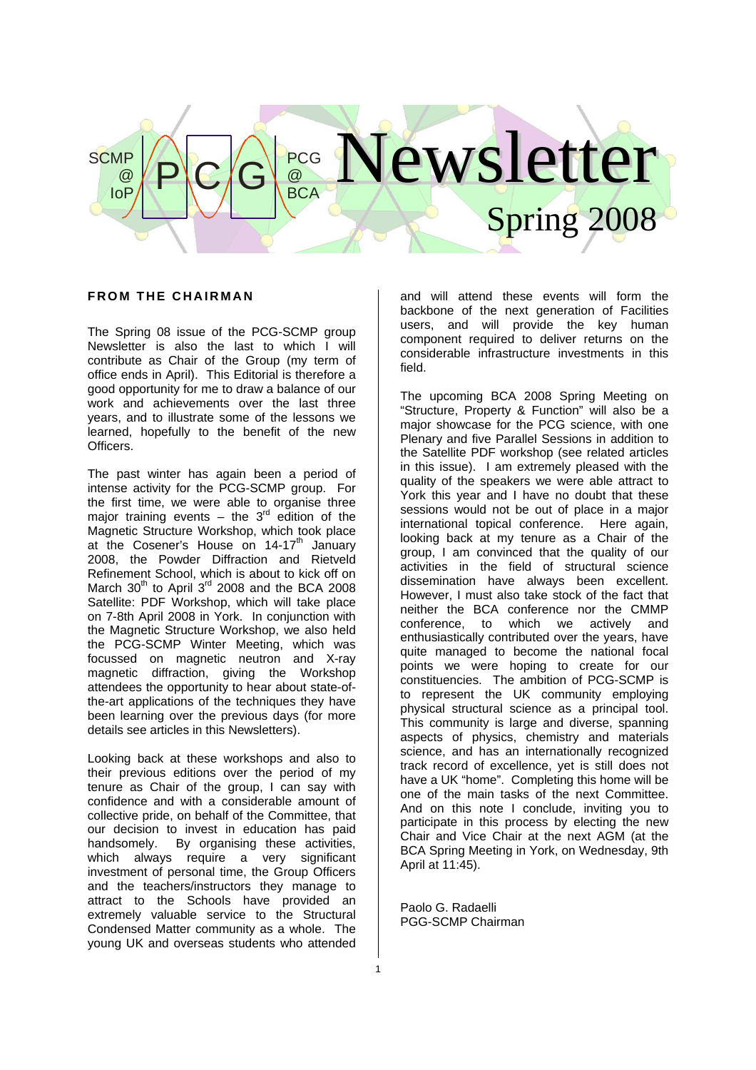# ewsletter Spring  $P|C|G|_{BCA}^{\text{PCG}}$  $\overline{\omega}$ **BCA SCMP** @ IoP

#### **FROM THE CHAIRMAN**

The Spring 08 issue of the PCG-SCMP group Newsletter is also the last to which I will contribute as Chair of the Group (my term of office ends in April). This Editorial is therefore a good opportunity for me to draw a balance of our work and achievements over the last three years, and to illustrate some of the lessons we learned, hopefully to the benefit of the new Officers.

The past winter has again been a period of intense activity for the PCG-SCMP group. For the first time, we were able to organise three major training events – the  $3<sup>rd</sup>$  edition of the Magnetic Structure Workshop, which took place at the Cosener's House on  $14-17<sup>th</sup>$  January 2008, the Powder Diffraction and Rietveld Refinement School, which is about to kick off on March  $30<sup>th</sup>$  to April  $3<sup>rd</sup>$  2008 and the BCA 2008 Satellite: PDF Workshop, which will take place on 7-8th April 2008 in York. In conjunction with the Magnetic Structure Workshop, we also held the PCG-SCMP Winter Meeting, which was focussed on magnetic neutron and X-ray magnetic diffraction, giving the Workshop attendees the opportunity to hear about state-ofthe-art applications of the techniques they have been learning over the previous days (for more details see articles in this Newsletters).

Looking back at these workshops and also to their previous editions over the period of my tenure as Chair of the group, I can say with confidence and with a considerable amount of collective pride, on behalf of the Committee, that our decision to invest in education has paid handsomely. By organising these activities, which always require a very significant investment of personal time, the Group Officers and the teachers/instructors they manage to attract to the Schools have provided an extremely valuable service to the Structural Condensed Matter community as a whole. The young UK and overseas students who attended

and will attend these events will form the backbone of the next generation of Facilities users, and will provide the key human component required to deliver returns on the considerable infrastructure investments in this field.

The upcoming BCA 2008 Spring Meeting on "Structure, Property & Function" will also be a major showcase for the PCG science, with one Plenary and five Parallel Sessions in addition to the Satellite PDF workshop (see related articles in this issue). I am extremely pleased with the quality of the speakers we were able attract to York this year and I have no doubt that these sessions would not be out of place in a major international topical conference. Here again, looking back at my tenure as a Chair of the group, I am convinced that the quality of our activities in the field of structural science dissemination have always been excellent. However, I must also take stock of the fact that neither the BCA conference nor the CMMP conference, to which we actively and enthusiastically contributed over the years, have quite managed to become the national focal points we were hoping to create for our constituencies. The ambition of PCG-SCMP is to represent the UK community employing physical structural science as a principal tool. This community is large and diverse, spanning aspects of physics, chemistry and materials science, and has an internationally recognized track record of excellence, yet is still does not have a UK "home". Completing this home will be one of the main tasks of the next Committee. And on this note I conclude, inviting you to participate in this process by electing the new Chair and Vice Chair at the next AGM (at the BCA Spring Meeting in York, on Wednesday, 9th April at 11:45).

Paolo G. Radaelli PGG-SCMP Chairman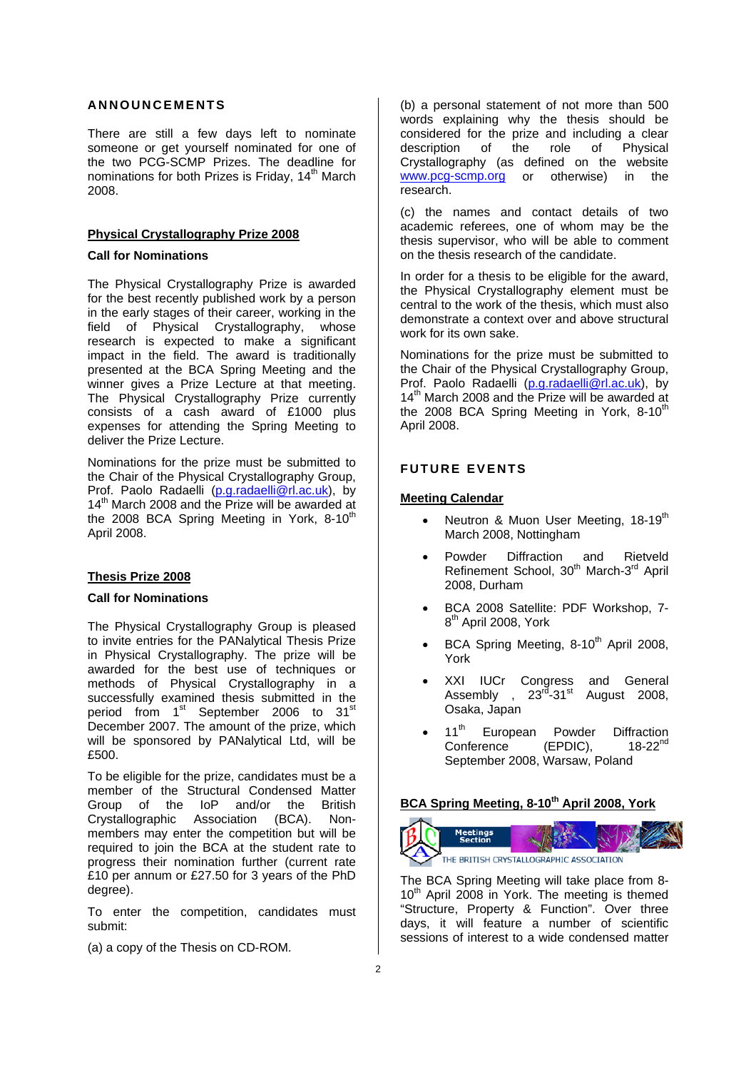## **ANNOUNCEMENTS**

There are still a few days left to nominate someone or get yourself nominated for one of the two PCG-SCMP Prizes. The deadline for nominations for both Prizes is Friday, 14<sup>th</sup> March 2008.

#### **Physical Crystallography Prize 2008**

#### **Call for Nominations**

The Physical Crystallography Prize is awarded for the best recently published work by a person in the early stages of their career, working in the field of Physical Crystallography, whose research is expected to make a significant impact in the field. The award is traditionally presented at the BCA Spring Meeting and the winner gives a Prize Lecture at that meeting. The Physical Crystallography Prize currently consists of a cash award of £1000 plus expenses for attending the Spring Meeting to deliver the Prize Lecture.

Nominations for the prize must be submitted to the Chair of the Physical Crystallography Group, Prof. Paolo Radaelli (p.g.radaelli@rl.ac.uk), by 14<sup>th</sup> March 2008 and the Prize will be awarded at the 2008 BCA Spring Meeting in York,  $8-10^{th}$ April 2008.

#### **Thesis Prize 2008**

#### **Call for Nominations**

The Physical Crystallography Group is pleased to invite entries for the PANalytical Thesis Prize in Physical Crystallography. The prize will be awarded for the best use of techniques or methods of Physical Crystallography in a successfully examined thesis submitted in the period from 1<sup>st</sup> September 2006 to 31<sup>st</sup> December 2007. The amount of the prize, which will be sponsored by PANalytical Ltd, will be £500.

To be eligible for the prize, candidates must be a member of the Structural Condensed Matter Group of the IoP and/or the British Crystallographic Association (BCA). Nonmembers may enter the competition but will be required to join the BCA at the student rate to progress their nomination further (current rate £10 per annum or £27.50 for 3 years of the PhD degree).

To enter the competition, candidates must submit:

(a) a copy of the Thesis on CD-ROM.

(b) a personal statement of not more than 500 words explaining why the thesis should be considered for the prize and including a clear description of the role of Physical Crystallography (as defined on the website www.pcg-scmp.org or otherwise) in the research.

(c) the names and contact details of two academic referees, one of whom may be the thesis supervisor, who will be able to comment on the thesis research of the candidate.

In order for a thesis to be eligible for the award, the Physical Crystallography element must be central to the work of the thesis, which must also demonstrate a context over and above structural work for its own sake.

Nominations for the prize must be submitted to the Chair of the Physical Crystallography Group, Prof. Paolo Radaelli (p.g.radaelli@rl.ac.uk), by 14<sup>th</sup> March 2008 and the Prize will be awarded at the 2008 BCA Spring Meeting in York,  $8-10^{th}$ April 2008.

## **FUTURE EVENTS**

#### **Meeting Calendar**

- Neutron & Muon User Meeting, 18-19<sup>th</sup> March 2008, Nottingham
- Powder Diffraction and Rietveld Refinement School, 30<sup>th</sup> March-3<sup>rd</sup> April 2008, Durham
- BCA 2008 Satellite: PDF Workshop, 7- 8<sup>th</sup> April 2008, York
- BCA Spring Meeting, 8-10<sup>th</sup> April 2008, York
- XXI IUCr Congress and General Assembly ,  $23^{rd}$ -31st August 2008, Osaka, Japan
- 11<sup>th</sup> European Powder Diffraction<br>Conference (FPDIC) 18-22<sup>nd</sup> Conference (EPDIC), September 2008, Warsaw, Poland

## **BCA Spring Meeting, 8-10th April 2008, York**



The BCA Spring Meeting will take place from 8- 10<sup>th</sup> April 2008 in York. The meeting is themed "Structure, Property & Function". Over three days, it will feature a number of scientific sessions of interest to a wide condensed matter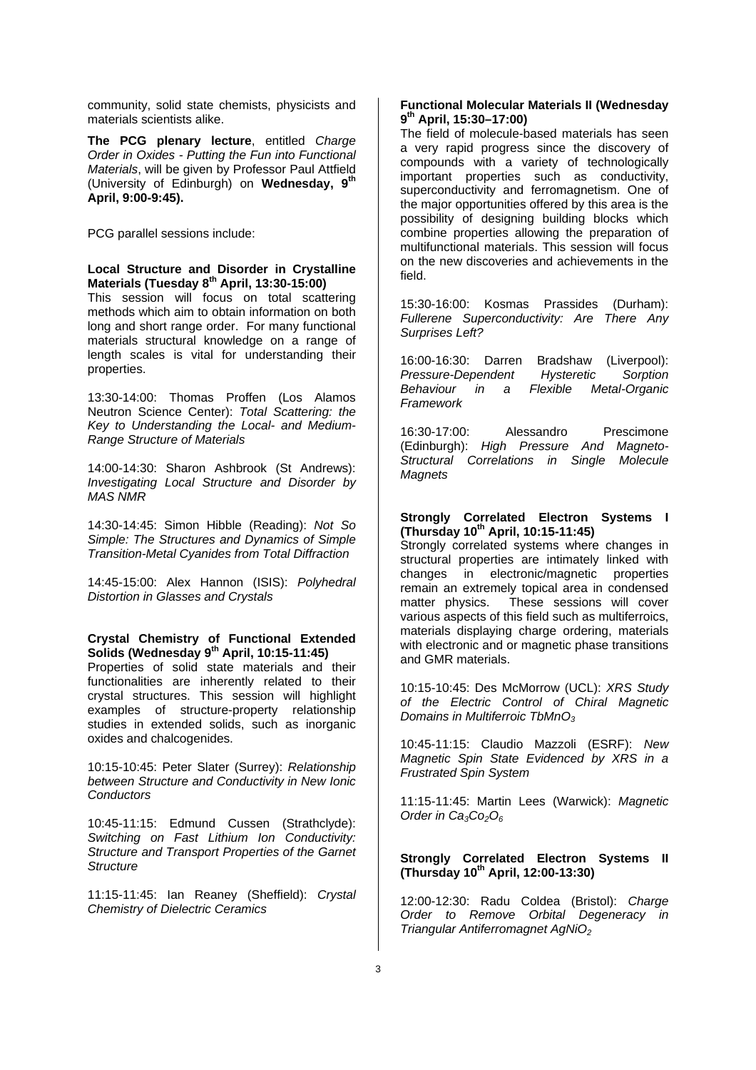community, solid state chemists, physicists and materials scientists alike.

**The PCG plenary lecture**, entitled *Charge Order in Oxides - Putting the Fun into Functional Materials*, will be given by Professor Paul Attfield (University of Edinburgh) on **Wednesday, 9th April, 9:00-9:45).** 

PCG parallel sessions include:

#### **Local Structure and Disorder in Crystalline Materials (Tuesday 8th April, 13:30-15:00)**

This session will focus on total scattering methods which aim to obtain information on both long and short range order. For many functional materials structural knowledge on a range of length scales is vital for understanding their properties.

13:30-14:00: Thomas Proffen (Los Alamos Neutron Science Center): *Total Scattering: the Key to Understanding the Local- and Medium-Range Structure of Materials* 

14:00-14:30: Sharon Ashbrook (St Andrews): *Investigating Local Structure and Disorder by MAS NMR* 

14:30-14:45: Simon Hibble (Reading): *Not So Simple: The Structures and Dynamics of Simple Transition-Metal Cyanides from Total Diffraction* 

14:45-15:00: Alex Hannon (ISIS): *Polyhedral Distortion in Glasses and Crystals* 

### **Crystal Chemistry of Functional Extended Solids (Wednesday 9th April, 10:15-11:45)**

Properties of solid state materials and their functionalities are inherently related to their crystal structures. This session will highlight examples of structure-property relationship studies in extended solids, such as inorganic oxides and chalcogenides.

10:15-10:45: Peter Slater (Surrey): *Relationship between Structure and Conductivity in New Ionic Conductors* 

10:45-11:15: Edmund Cussen (Strathclyde): *Switching on Fast Lithium Ion Conductivity: Structure and Transport Properties of the Garnet Structure* 

11:15-11:45: Ian Reaney (Sheffield): *Crystal Chemistry of Dielectric Ceramics*

## **Functional Molecular Materials II (Wednesday 9th April, 15:30–17:00)**

The field of molecule-based materials has seen a very rapid progress since the discovery of compounds with a variety of technologically important properties such as conductivity, superconductivity and ferromagnetism. One of the major opportunities offered by this area is the possibility of designing building blocks which combine properties allowing the preparation of multifunctional materials. This session will focus on the new discoveries and achievements in the field.

15:30-16:00: Kosmas Prassides (Durham): *Fullerene Superconductivity: Are There Any Surprises Left?* 

16:00-16:30: Darren Bradshaw (Liverpool):<br>Pressure-Dependent Hysteretic Sorption *Pressure-Dependent Hysteretic Sorption Behaviour in a Flexible Metal-Organic Framework* 

16:30-17:00: Alessandro Prescimone (Edinburgh): *High Pressure And Magneto-Structural Correlations in Single Molecule Magnets* 

#### **Strongly Correlated Electron Systems I (Thursday 10th April, 10:15-11:45)**

Strongly correlated systems where changes in structural properties are intimately linked with changes in electronic/magnetic properties remain an extremely topical area in condensed matter physics. These sessions will cover various aspects of this field such as multiferroics, materials displaying charge ordering, materials with electronic and or magnetic phase transitions and GMR materials.

10:15-10:45: Des McMorrow (UCL): *XRS Study of the Electric Control of Chiral Magnetic Domains in Multiferroic TbMnO3*

10:45-11:15: Claudio Mazzoli (ESRF): *New Magnetic Spin State Evidenced by XRS in a Frustrated Spin System* 

11:15-11:45: Martin Lees (Warwick): *Magnetic*  Order in Ca<sub>3</sub>Co<sub>2</sub>O<sub>6</sub>

## **Strongly Correlated Electron Systems II (Thursday 10th April, 12:00-13:30)**

12:00-12:30: Radu Coldea (Bristol): *Charge Order to Remove Orbital Degeneracy in Triangular Antiferromagnet AgNiO2*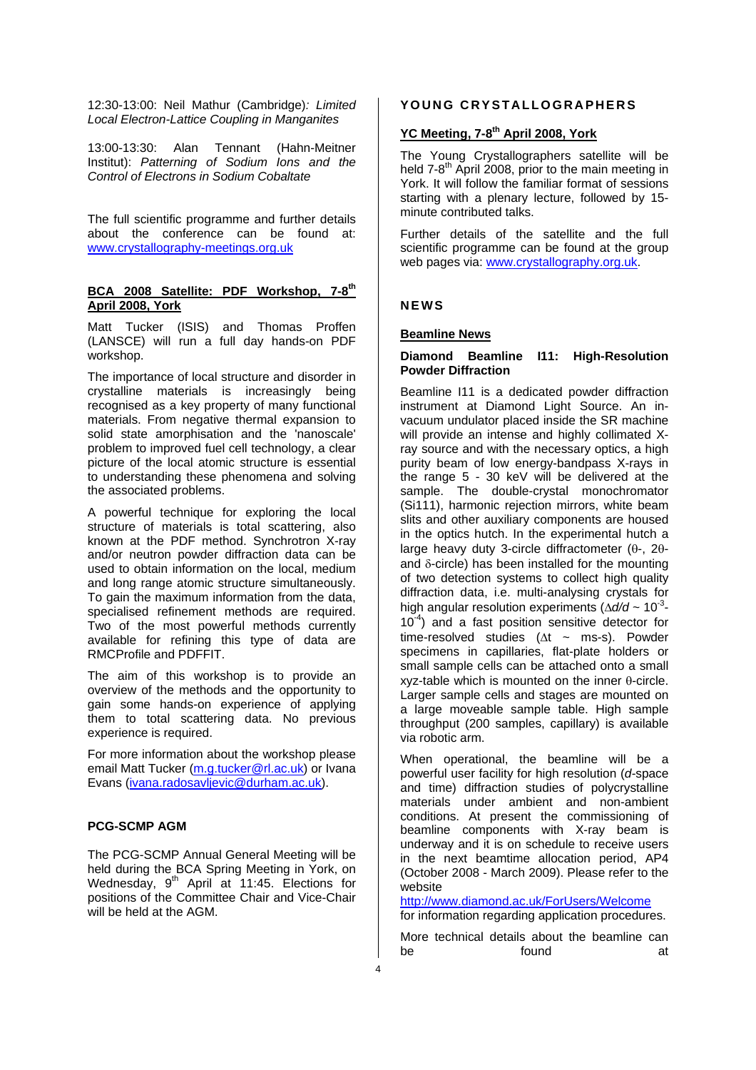12:30-13:00: Neil Mathur (Cambridge)*: Limited Local Electron-Lattice Coupling in Manganites* 

13:00-13:30: Alan Tennant (Hahn-Meitner Institut): *Patterning of Sodium Ions and the Control of Electrons in Sodium Cobaltate* 

The full scientific programme and further details about the conference can be found at: www.crystallography-meetings.org.uk

### **BCA 2008 Satellite: PDF Workshop, 7-8th April 2008, York**

Matt Tucker (ISIS) and Thomas Proffen (LANSCE) will run a full day hands-on PDF workshop.

The importance of local structure and disorder in crystalline materials is increasingly being recognised as a key property of many functional materials. From negative thermal expansion to solid state amorphisation and the 'nanoscale' problem to improved fuel cell technology, a clear picture of the local atomic structure is essential to understanding these phenomena and solving the associated problems.

A powerful technique for exploring the local structure of materials is total scattering, also known at the PDF method. Synchrotron X-ray and/or neutron powder diffraction data can be used to obtain information on the local, medium and long range atomic structure simultaneously. To gain the maximum information from the data, specialised refinement methods are required. Two of the most powerful methods currently available for refining this type of data are RMCProfile and PDFFIT.

The aim of this workshop is to provide an overview of the methods and the opportunity to gain some hands-on experience of applying them to total scattering data. No previous experience is required.

For more information about the workshop please email Matt Tucker (m.g.tucker@rl.ac.uk) or Ivana Evans (ivana.radosavljevic@durham.ac.uk).

## **PCG-SCMP AGM**

The PCG-SCMP Annual General Meeting will be held during the BCA Spring Meeting in York, on Wednesday,  $9<sup>th</sup>$  April at 11:45. Elections for positions of the Committee Chair and Vice-Chair will be held at the AGM.

## **YOUNG CRYSTALLOGRAPHERS**

# YC Meeting, 7-8<sup>th</sup> April 2008, York

The Young Crystallographers satellite will be held  $7-8^{th}$  April 2008, prior to the main meeting in York. It will follow the familiar format of sessions starting with a plenary lecture, followed by 15 minute contributed talks.

Further details of the satellite and the full scientific programme can be found at the group web pages via: www.crystallography.org.uk.

## **NEWS**

### **Beamline News**

#### **Diamond Beamline I11: High-Resolution Powder Diffraction**

Beamline I11 is a dedicated powder diffraction instrument at Diamond Light Source. An invacuum undulator placed inside the SR machine will provide an intense and highly collimated Xray source and with the necessary optics, a high purity beam of low energy-bandpass X-rays in the range 5 - 30 keV will be delivered at the sample. The double-crystal monochromator (Si111), harmonic rejection mirrors, white beam slits and other auxiliary components are housed in the optics hutch. In the experimental hutch a large heavy duty 3-circle diffractometer (θ-, 2θand δ-circle) has been installed for the mounting of two detection systems to collect high quality diffraction data, i.e. multi-analysing crystals for high angular resolution experiments (Δ*d/d* ~ 10-3-  $10^{-4}$ ) and a fast position sensitive detector for time-resolved studies ( $\Delta t \sim$  ms-s). Powder specimens in capillaries, flat-plate holders or small sample cells can be attached onto a small xyz-table which is mounted on the inner θ-circle. Larger sample cells and stages are mounted on a large moveable sample table. High sample throughput (200 samples, capillary) is available via robotic arm.

When operational, the beamline will be a powerful user facility for high resolution (*d-*space and time) diffraction studies of polycrystalline materials under ambient and non-ambient conditions. At present the commissioning of beamline components with X-ray beam is underway and it is on schedule to receive users in the next beamtime allocation period, AP4 (October 2008 - March 2009). Please refer to the website

http://www.diamond.ac.uk/ForUsers/Welcome for information regarding application procedures.

More technical details about the beamline can be found at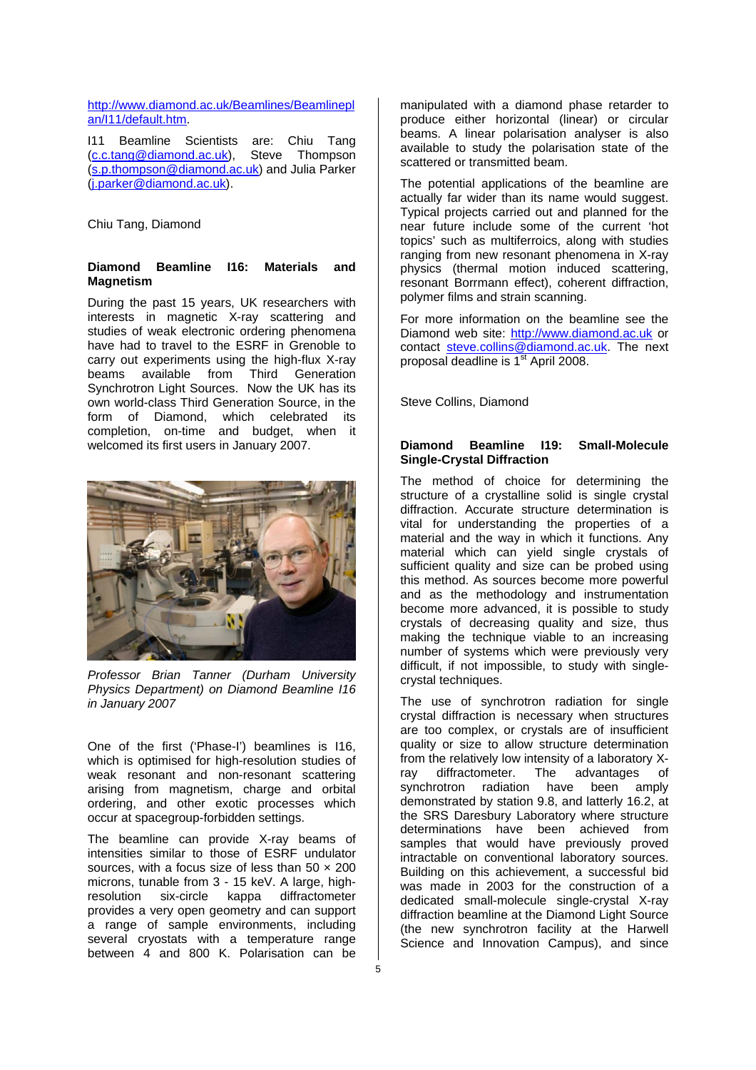## http://www.diamond.ac.uk/Beamlines/Beamlinepl an/I11/default.htm.

I11 Beamline Scientists are: Chiu Tang (c.c.tang@diamond.ac.uk), Steve Thompson (s.p.thompson@diamond.ac.uk) and Julia Parker (j.parker@diamond.ac.uk).

Chiu Tang, Diamond

#### **Diamond Beamline I16: Materials and Magnetism**

During the past 15 years, UK researchers with interests in magnetic X-ray scattering and studies of weak electronic ordering phenomena have had to travel to the ESRF in Grenoble to carry out experiments using the high-flux X-ray beams available from Third Generation Synchrotron Light Sources. Now the UK has its own world-class Third Generation Source, in the form of Diamond, which celebrated its completion, on-time and budget, when it welcomed its first users in January 2007.



*Professor Brian Tanner (Durham University Physics Department) on Diamond Beamline I16 in January 2007* 

One of the first ('Phase-I') beamlines is I16, which is optimised for high-resolution studies of weak resonant and non-resonant scattering arising from magnetism, charge and orbital ordering, and other exotic processes which occur at spacegroup-forbidden settings.

The beamline can provide X-ray beams of intensities similar to those of ESRF undulator sources, with a focus size of less than  $50 \times 200$ microns, tunable from 3 - 15 keV. A large, highresolution six-circle kappa diffractometer provides a very open geometry and can support a range of sample environments, including several cryostats with a temperature range between 4 and 800 K. Polarisation can be

manipulated with a diamond phase retarder to produce either horizontal (linear) or circular beams. A linear polarisation analyser is also available to study the polarisation state of the scattered or transmitted beam.

The potential applications of the beamline are actually far wider than its name would suggest. Typical projects carried out and planned for the near future include some of the current 'hot topics' such as multiferroics, along with studies ranging from new resonant phenomena in X-ray physics (thermal motion induced scattering, resonant Borrmann effect), coherent diffraction, polymer films and strain scanning.

For more information on the beamline see the Diamond web site: http://www.diamond.ac.uk or contact steve.collins@diamond.ac.uk. The next proposal deadline is 1<sup>st</sup> April 2008.

Steve Collins, Diamond

### **Diamond Beamline I19: Small-Molecule Single-Crystal Diffraction**

The method of choice for determining the structure of a crystalline solid is single crystal diffraction. Accurate structure determination is vital for understanding the properties of a material and the way in which it functions. Any material which can yield single crystals of sufficient quality and size can be probed using this method. As sources become more powerful and as the methodology and instrumentation become more advanced, it is possible to study crystals of decreasing quality and size, thus making the technique viable to an increasing number of systems which were previously very difficult, if not impossible, to study with singlecrystal techniques.

The use of synchrotron radiation for single crystal diffraction is necessary when structures are too complex, or crystals are of insufficient quality or size to allow structure determination from the relatively low intensity of a laboratory Xray diffractometer. The advantages of synchrotron radiation have been amply demonstrated by station 9.8, and latterly 16.2, at the SRS Daresbury Laboratory where structure determinations have been achieved from samples that would have previously proved intractable on conventional laboratory sources. Building on this achievement, a successful bid was made in 2003 for the construction of a dedicated small-molecule single-crystal X-ray diffraction beamline at the Diamond Light Source (the new synchrotron facility at the Harwell Science and Innovation Campus), and since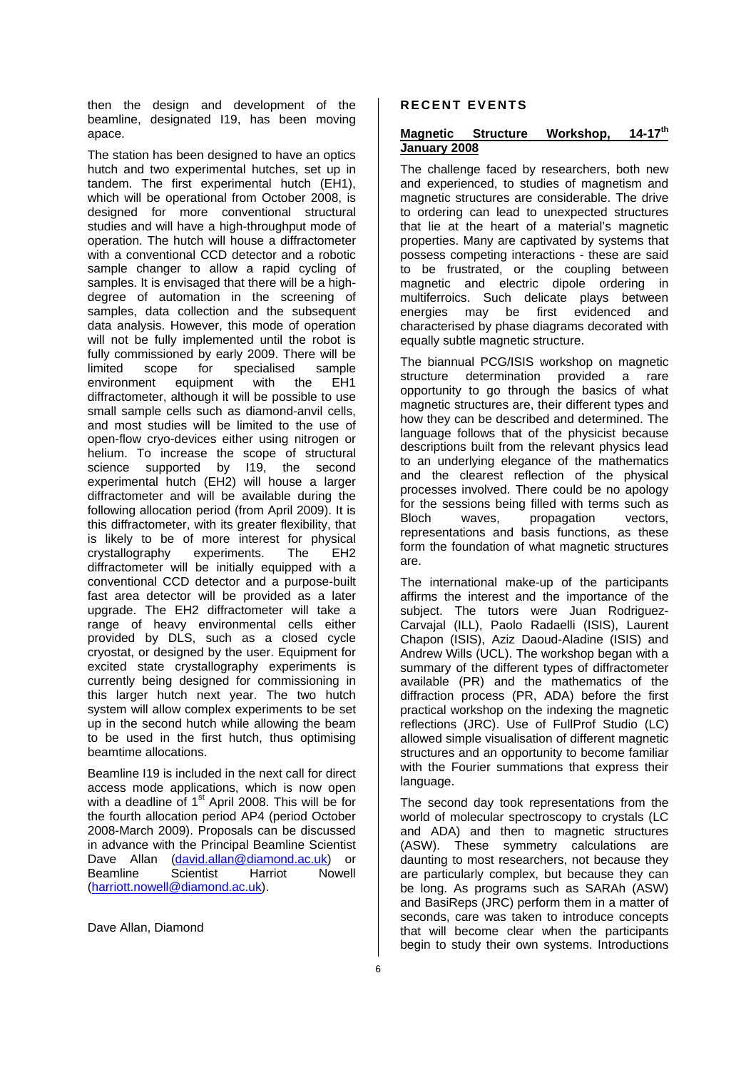then the design and development of the beamline, designated I19, has been moving apace.

The station has been designed to have an optics hutch and two experimental hutches, set up in tandem. The first experimental hutch (EH1), which will be operational from October 2008, is designed for more conventional structural studies and will have a high-throughput mode of operation. The hutch will house a diffractometer with a conventional CCD detector and a robotic sample changer to allow a rapid cycling of samples. It is envisaged that there will be a highdegree of automation in the screening of samples, data collection and the subsequent data analysis. However, this mode of operation will not be fully implemented until the robot is fully commissioned by early 2009. There will be limited scope for specialised sample environment equipment with the EH1 diffractometer, although it will be possible to use small sample cells such as diamond-anvil cells, and most studies will be limited to the use of open-flow cryo-devices either using nitrogen or helium. To increase the scope of structural science supported by 119, the second experimental hutch (EH2) will house a larger diffractometer and will be available during the following allocation period (from April 2009). It is this diffractometer, with its greater flexibility, that is likely to be of more interest for physical crystallography experiments. The EH2 diffractometer will be initially equipped with a conventional CCD detector and a purpose-built fast area detector will be provided as a later upgrade. The EH2 diffractometer will take a range of heavy environmental cells either provided by DLS, such as a closed cycle cryostat, or designed by the user. Equipment for excited state crystallography experiments is currently being designed for commissioning in this larger hutch next year. The two hutch system will allow complex experiments to be set up in the second hutch while allowing the beam to be used in the first hutch, thus optimising beamtime allocations.

Beamline I19 is included in the next call for direct access mode applications, which is now open with a deadline of 1<sup>st</sup> April 2008. This will be for the fourth allocation period AP4 (period October 2008-March 2009). Proposals can be discussed in advance with the Principal Beamline Scientist Dave Allan (david.allan@diamond.ac.uk) or Beamline Scientist Harriot Nowell (harriott.nowell@diamond.ac.uk).

Dave Allan, Diamond

## **RECENT EVENTS**

#### **Magnetic Structure Workshop, 14-17th January 2008**

The challenge faced by researchers, both new and experienced, to studies of magnetism and magnetic structures are considerable. The drive to ordering can lead to unexpected structures that lie at the heart of a material's magnetic properties. Many are captivated by systems that possess competing interactions - these are said to be frustrated, or the coupling between magnetic and electric dipole ordering in multiferroics. Such delicate plays between energies may be first evidenced and characterised by phase diagrams decorated with equally subtle magnetic structure.

The biannual PCG/ISIS workshop on magnetic structure determination provided a rare opportunity to go through the basics of what magnetic structures are, their different types and how they can be described and determined. The language follows that of the physicist because descriptions built from the relevant physics lead to an underlying elegance of the mathematics and the clearest reflection of the physical processes involved. There could be no apology for the sessions being filled with terms such as Bloch waves, propagation vectors. representations and basis functions, as these form the foundation of what magnetic structures are.

The international make-up of the participants affirms the interest and the importance of the subject. The tutors were Juan Rodriguez-Carvajal (ILL), Paolo Radaelli (ISIS), Laurent Chapon (ISIS), Aziz Daoud-Aladine (ISIS) and Andrew Wills (UCL). The workshop began with a summary of the different types of diffractometer available (PR) and the mathematics of the diffraction process (PR, ADA) before the first practical workshop on the indexing the magnetic reflections (JRC). Use of FullProf Studio (LC) allowed simple visualisation of different magnetic structures and an opportunity to become familiar with the Fourier summations that express their language.

The second day took representations from the world of molecular spectroscopy to crystals (LC and ADA) and then to magnetic structures (ASW). These symmetry calculations are daunting to most researchers, not because they are particularly complex, but because they can be long. As programs such as SARAh (ASW) and BasiReps (JRC) perform them in a matter of seconds, care was taken to introduce concepts that will become clear when the participants begin to study their own systems. Introductions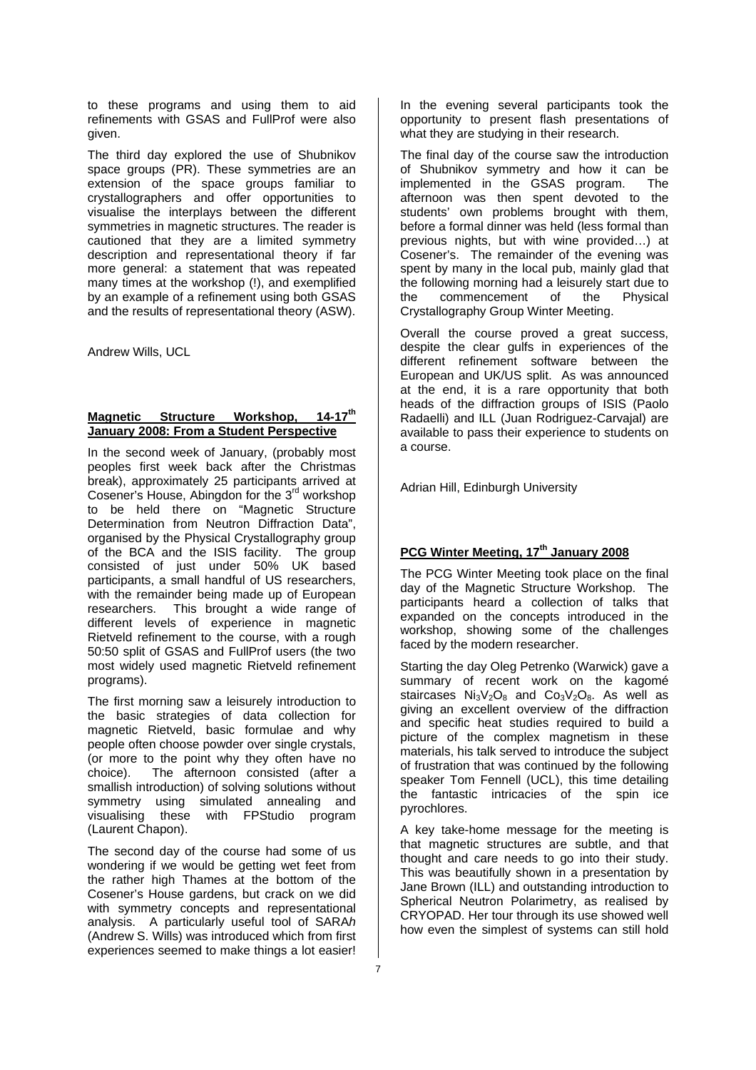to these programs and using them to aid refinements with GSAS and FullProf were also given.

The third day explored the use of Shubnikov space groups (PR). These symmetries are an extension of the space groups familiar to crystallographers and offer opportunities to visualise the interplays between the different symmetries in magnetic structures. The reader is cautioned that they are a limited symmetry description and representational theory if far more general: a statement that was repeated many times at the workshop (!), and exemplified by an example of a refinement using both GSAS and the results of representational theory (ASW).

Andrew Wills, UCL

## **Magnetic Structure Workshop, 14-17th January 2008: From a Student Perspective**

In the second week of January, (probably most peoples first week back after the Christmas break), approximately 25 participants arrived at Cosener's House, Abingdon for the 3<sup>rd</sup> workshop to be held there on "Magnetic Structure Determination from Neutron Diffraction Data", organised by the Physical Crystallography group of the BCA and the ISIS facility. The group consisted of just under 50% UK based participants, a small handful of US researchers, with the remainder being made up of European researchers. This brought a wide range of different levels of experience in magnetic Rietveld refinement to the course, with a rough 50:50 split of GSAS and FullProf users (the two most widely used magnetic Rietveld refinement programs).

The first morning saw a leisurely introduction to the basic strategies of data collection for magnetic Rietveld, basic formulae and why people often choose powder over single crystals, (or more to the point why they often have no choice). The afternoon consisted (after a smallish introduction) of solving solutions without symmetry using simulated annealing and visualising these with FPStudio program (Laurent Chapon).

The second day of the course had some of us wondering if we would be getting wet feet from the rather high Thames at the bottom of the Cosener's House gardens, but crack on we did with symmetry concepts and representational analysis. A particularly useful tool of SARA*h* (Andrew S. Wills) was introduced which from first experiences seemed to make things a lot easier!

In the evening several participants took the opportunity to present flash presentations of what they are studying in their research.

The final day of the course saw the introduction of Shubnikov symmetry and how it can be implemented in the GSAS program. The afternoon was then spent devoted to the students' own problems brought with them, before a formal dinner was held (less formal than previous nights, but with wine provided…) at Cosener's. The remainder of the evening was spent by many in the local pub, mainly glad that the following morning had a leisurely start due to the commencement of the Physical Crystallography Group Winter Meeting.

Overall the course proved a great success, despite the clear gulfs in experiences of the different refinement software between the European and UK/US split. As was announced at the end, it is a rare opportunity that both heads of the diffraction groups of ISIS (Paolo Radaelli) and ILL (Juan Rodriguez-Carvajal) are available to pass their experience to students on a course.

Adrian Hill, Edinburgh University

# **PCG Winter Meeting, 17th January 2008**

The PCG Winter Meeting took place on the final day of the Magnetic Structure Workshop. The participants heard a collection of talks that expanded on the concepts introduced in the workshop, showing some of the challenges faced by the modern researcher.

Starting the day Oleg Petrenko (Warwick) gave a summary of recent work on the kagomé staircases  $Ni<sub>3</sub>V<sub>2</sub>O<sub>8</sub>$  and  $Co<sub>3</sub>V<sub>2</sub>O<sub>8</sub>$ . As well as giving an excellent overview of the diffraction and specific heat studies required to build a picture of the complex magnetism in these materials, his talk served to introduce the subject of frustration that was continued by the following speaker Tom Fennell (UCL), this time detailing the fantastic intricacies of the spin ice pyrochlores.

A key take-home message for the meeting is that magnetic structures are subtle, and that thought and care needs to go into their study. This was beautifully shown in a presentation by Jane Brown (ILL) and outstanding introduction to Spherical Neutron Polarimetry, as realised by CRYOPAD. Her tour through its use showed well how even the simplest of systems can still hold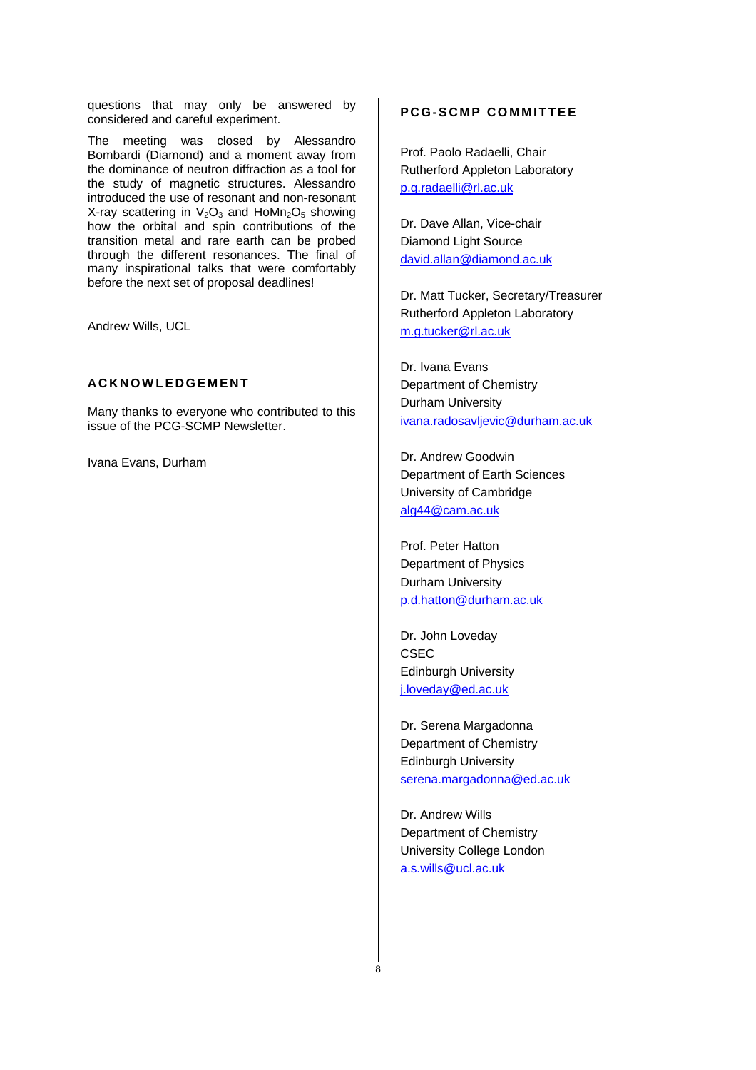questions that may only be answered by considered and careful experiment.

The meeting was closed by Alessandro Bombardi (Diamond) and a moment away from the dominance of neutron diffraction as a tool for the study of magnetic structures. Alessandro introduced the use of resonant and non-resonant X-ray scattering in  $V_2O_3$  and HoMn<sub>2</sub>O<sub>5</sub> showing how the orbital and spin contributions of the transition metal and rare earth can be probed through the different resonances. The final of many inspirational talks that were comfortably before the next set of proposal deadlines!

Andrew Wills, UCL

# **ACKNOWLEDGEMENT**

Many thanks to everyone who contributed to this issue of the PCG-SCMP Newsletter.

Ivana Evans, Durham

## **PCG-SCMP COMMITTEE**

Prof. Paolo Radaelli, Chair Rutherford Appleton Laboratory p.g.radaelli@rl.ac.uk

Dr. Dave Allan, Vice-chair Diamond Light Source david.allan@diamond.ac.uk

Dr. Matt Tucker, Secretary/Treasurer Rutherford Appleton Laboratory m.g.tucker@rl.ac.uk

Dr. Ivana Evans Department of Chemistry Durham University ivana.radosavljevic@durham.ac.uk

Dr. Andrew Goodwin Department of Earth Sciences University of Cambridge alg44@cam.ac.uk

Prof. Peter Hatton Department of Physics Durham University p.d.hatton@durham.ac.uk

Dr. John Loveday CSEC Edinburgh University j.loveday@ed.ac.uk

Dr. Serena Margadonna Department of Chemistry Edinburgh University serena.margadonna@ed.ac.uk

Dr. Andrew Wills Department of Chemistry University College London a.s.wills@ucl.ac.uk